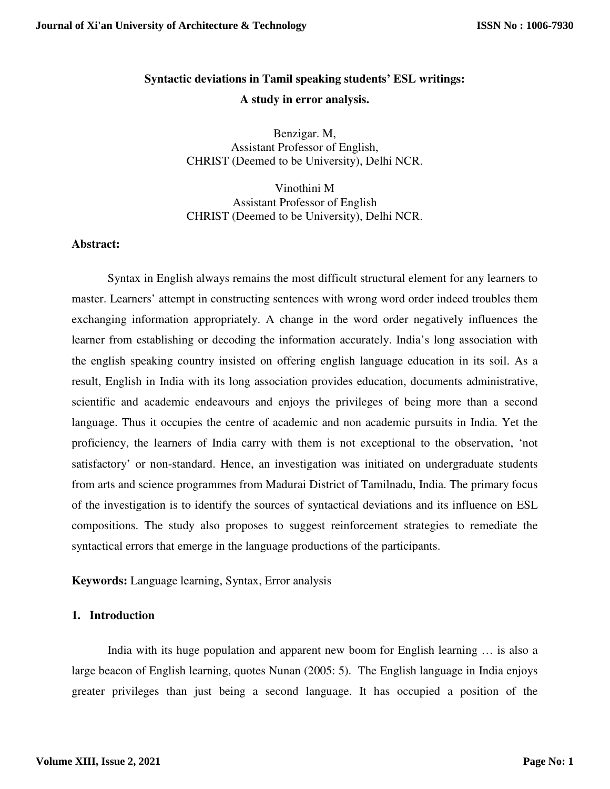# **Syntactic deviations in Tamil speaking students' ESL writings: A study in error analysis.**

Benzigar. M, Assistant Professor of English, CHRIST (Deemed to be University), Delhi NCR.

Vinothini M Assistant Professor of English CHRIST (Deemed to be University), Delhi NCR.

### **Abstract:**

 Syntax in English always remains the most difficult structural element for any learners to master. Learners' attempt in constructing sentences with wrong word order indeed troubles them exchanging information appropriately. A change in the word order negatively influences the learner from establishing or decoding the information accurately. India's long association with the english speaking country insisted on offering english language education in its soil. As a result, English in India with its long association provides education, documents administrative, scientific and academic endeavours and enjoys the privileges of being more than a second language. Thus it occupies the centre of academic and non academic pursuits in India. Yet the proficiency, the learners of India carry with them is not exceptional to the observation, 'not satisfactory' or non-standard. Hence, an investigation was initiated on undergraduate students from arts and science programmes from Madurai District of Tamilnadu, India. The primary focus of the investigation is to identify the sources of syntactical deviations and its influence on ESL compositions. The study also proposes to suggest reinforcement strategies to remediate the syntactical errors that emerge in the language productions of the participants.

**Keywords:** Language learning, Syntax, Error analysis

## **1. Introduction**

India with its huge population and apparent new boom for English learning … is also a large beacon of English learning, quotes Nunan (2005: 5). The English language in India enjoys greater privileges than just being a second language. It has occupied a position of the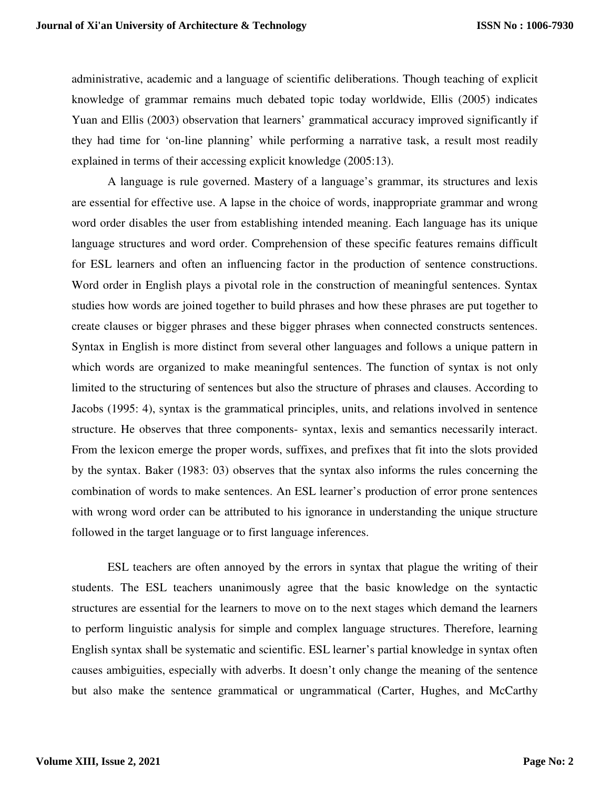administrative, academic and a language of scientific deliberations. Though teaching of explicit knowledge of grammar remains much debated topic today worldwide, Ellis (2005) indicates Yuan and Ellis (2003) observation that learners' grammatical accuracy improved significantly if they had time for 'on-line planning' while performing a narrative task, a result most readily explained in terms of their accessing explicit knowledge (2005:13).

 A language is rule governed. Mastery of a language's grammar, its structures and lexis are essential for effective use. A lapse in the choice of words, inappropriate grammar and wrong word order disables the user from establishing intended meaning. Each language has its unique language structures and word order. Comprehension of these specific features remains difficult for ESL learners and often an influencing factor in the production of sentence constructions. Word order in English plays a pivotal role in the construction of meaningful sentences. Syntax studies how words are joined together to build phrases and how these phrases are put together to create clauses or bigger phrases and these bigger phrases when connected constructs sentences. Syntax in English is more distinct from several other languages and follows a unique pattern in which words are organized to make meaningful sentences. The function of syntax is not only limited to the structuring of sentences but also the structure of phrases and clauses. According to Jacobs (1995: 4), syntax is the grammatical principles, units, and relations involved in sentence structure. He observes that three components- syntax, lexis and semantics necessarily interact. From the lexicon emerge the proper words, suffixes, and prefixes that fit into the slots provided by the syntax. Baker (1983: 03) observes that the syntax also informs the rules concerning the combination of words to make sentences. An ESL learner's production of error prone sentences with wrong word order can be attributed to his ignorance in understanding the unique structure followed in the target language or to first language inferences.

 ESL teachers are often annoyed by the errors in syntax that plague the writing of their students. The ESL teachers unanimously agree that the basic knowledge on the syntactic structures are essential for the learners to move on to the next stages which demand the learners to perform linguistic analysis for simple and complex language structures. Therefore, learning English syntax shall be systematic and scientific. ESL learner's partial knowledge in syntax often causes ambiguities, especially with adverbs. It doesn't only change the meaning of the sentence but also make the sentence grammatical or ungrammatical (Carter, Hughes, and McCarthy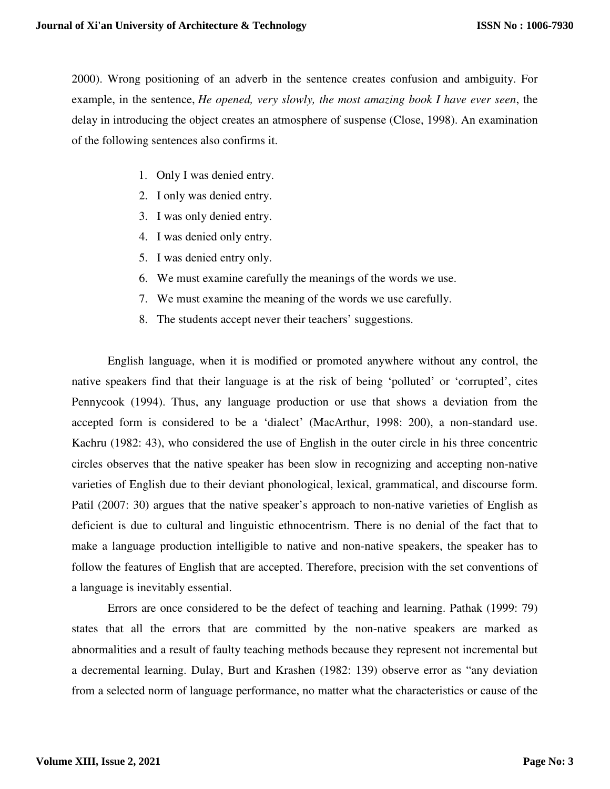2000). Wrong positioning of an adverb in the sentence creates confusion and ambiguity. For example, in the sentence, *He opened, very slowly, the most amazing book I have ever seen*, the delay in introducing the object creates an atmosphere of suspense (Close, 1998). An examination of the following sentences also confirms it.

- 1. Only I was denied entry.
- 2. I only was denied entry.
- 3. I was only denied entry.
- 4. I was denied only entry.
- 5. I was denied entry only.
- 6. We must examine carefully the meanings of the words we use.
- 7. We must examine the meaning of the words we use carefully.
- 8. The students accept never their teachers' suggestions.

English language, when it is modified or promoted anywhere without any control, the native speakers find that their language is at the risk of being 'polluted' or 'corrupted', cites Pennycook (1994). Thus, any language production or use that shows a deviation from the accepted form is considered to be a 'dialect' (MacArthur, 1998: 200), a non-standard use. Kachru (1982: 43), who considered the use of English in the outer circle in his three concentric circles observes that the native speaker has been slow in recognizing and accepting non-native varieties of English due to their deviant phonological, lexical, grammatical, and discourse form. Patil (2007: 30) argues that the native speaker's approach to non-native varieties of English as deficient is due to cultural and linguistic ethnocentrism. There is no denial of the fact that to make a language production intelligible to native and non-native speakers, the speaker has to follow the features of English that are accepted. Therefore, precision with the set conventions of a language is inevitably essential.

Errors are once considered to be the defect of teaching and learning. Pathak (1999: 79) states that all the errors that are committed by the non-native speakers are marked as abnormalities and a result of faulty teaching methods because they represent not incremental but a decremental learning. Dulay, Burt and Krashen (1982: 139) observe error as "any deviation from a selected norm of language performance, no matter what the characteristics or cause of the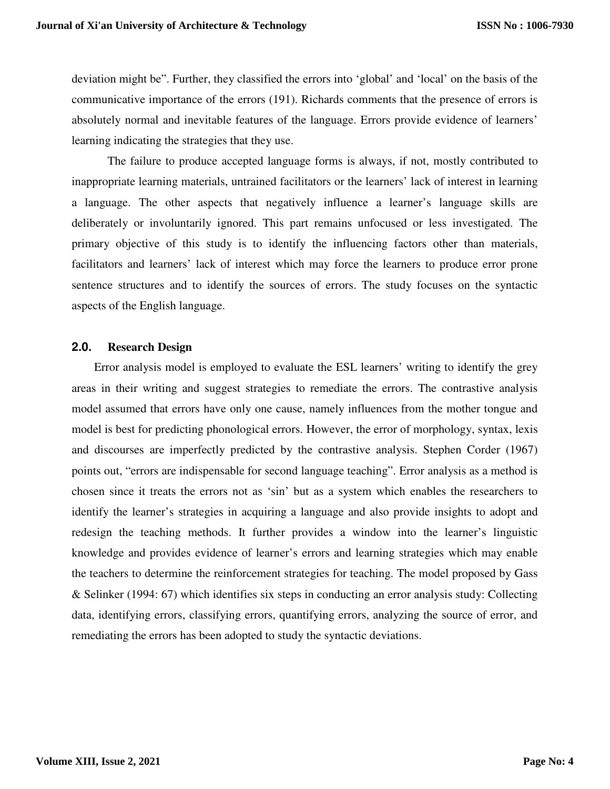deviation might be". Further, they classified the errors into 'global' and 'local' on the basis of the communicative importance of the errors (191). Richards comments that the presence of errors is absolutely normal and inevitable features of the language. Errors provide evidence of learners' learning indicating the strategies that they use.

The failure to produce accepted language forms is always, if not, mostly contributed to inappropriate learning materials, untrained facilitators or the learners' lack of interest in learning a language. The other aspects that negatively influence a learner's language skills are deliberately or involuntarily ignored. This part remains unfocused or less investigated. The primary objective of this study is to identify the influencing factors other than materials, facilitators and learners' lack of interest which may force the learners to produce error prone sentence structures and to identify the sources of errors. The study focuses on the syntactic aspects of the English language.

## **2.0. Research Design**

Error analysis model is employed to evaluate the ESL learners' writing to identify the grey areas in their writing and suggest strategies to remediate the errors. The contrastive analysis model assumed that errors have only one cause, namely influences from the mother tongue and model is best for predicting phonological errors. However, the error of morphology, syntax, lexis and discourses are imperfectly predicted by the contrastive analysis. Stephen Corder (1967) points out, "errors are indispensable for second language teaching". Error analysis as a method is chosen since it treats the errors not as 'sin' but as a system which enables the researchers to identify the learner's strategies in acquiring a language and also provide insights to adopt and redesign the teaching methods. It further provides a window into the learner's linguistic knowledge and provides evidence of learner's errors and learning strategies which may enable the teachers to determine the reinforcement strategies for teaching. The model proposed by Gass & Selinker (1994: 67) which identifies six steps in conducting an error analysis study: Collecting data, identifying errors, classifying errors, quantifying errors, analyzing the source of error, and remediating the errors has been adopted to study the syntactic deviations.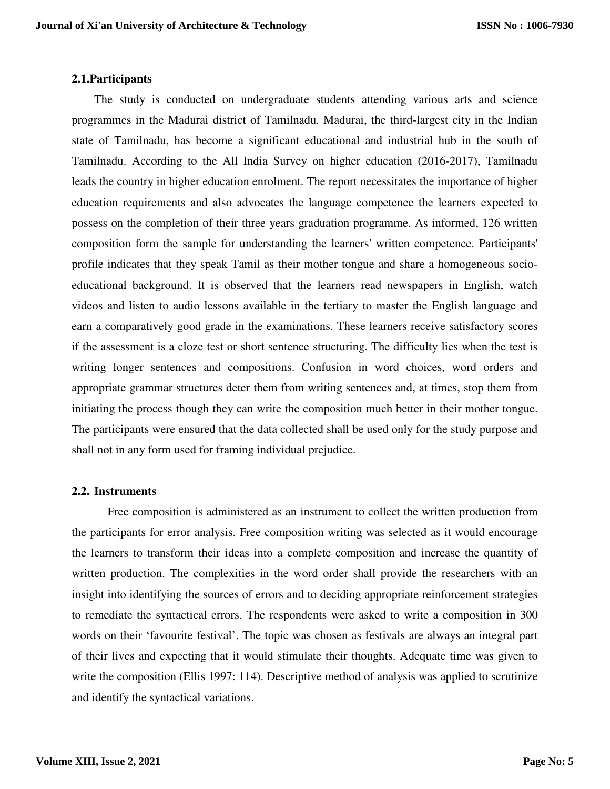### **2.1.Participants**

The study is conducted on undergraduate students attending various arts and science programmes in the Madurai district of Tamilnadu. Madurai, the third-largest city in the Indian state of Tamilnadu, has become a significant educational and industrial hub in the south of Tamilnadu. According to the All India Survey on higher education (2016-2017), Tamilnadu leads the country in higher education enrolment. The report necessitates the importance of higher education requirements and also advocates the language competence the learners expected to possess on the completion of their three years graduation programme. As informed, 126 written composition form the sample for understanding the learners' written competence. Participants' profile indicates that they speak Tamil as their mother tongue and share a homogeneous socioeducational background. It is observed that the learners read newspapers in English, watch videos and listen to audio lessons available in the tertiary to master the English language and earn a comparatively good grade in the examinations. These learners receive satisfactory scores if the assessment is a cloze test or short sentence structuring. The difficulty lies when the test is writing longer sentences and compositions. Confusion in word choices, word orders and appropriate grammar structures deter them from writing sentences and, at times, stop them from initiating the process though they can write the composition much better in their mother tongue. The participants were ensured that the data collected shall be used only for the study purpose and shall not in any form used for framing individual prejudice.

#### **2.2. Instruments**

 Free composition is administered as an instrument to collect the written production from the participants for error analysis. Free composition writing was selected as it would encourage the learners to transform their ideas into a complete composition and increase the quantity of written production. The complexities in the word order shall provide the researchers with an insight into identifying the sources of errors and to deciding appropriate reinforcement strategies to remediate the syntactical errors. The respondents were asked to write a composition in 300 words on their 'favourite festival'. The topic was chosen as festivals are always an integral part of their lives and expecting that it would stimulate their thoughts. Adequate time was given to write the composition (Ellis 1997: 114). Descriptive method of analysis was applied to scrutinize and identify the syntactical variations.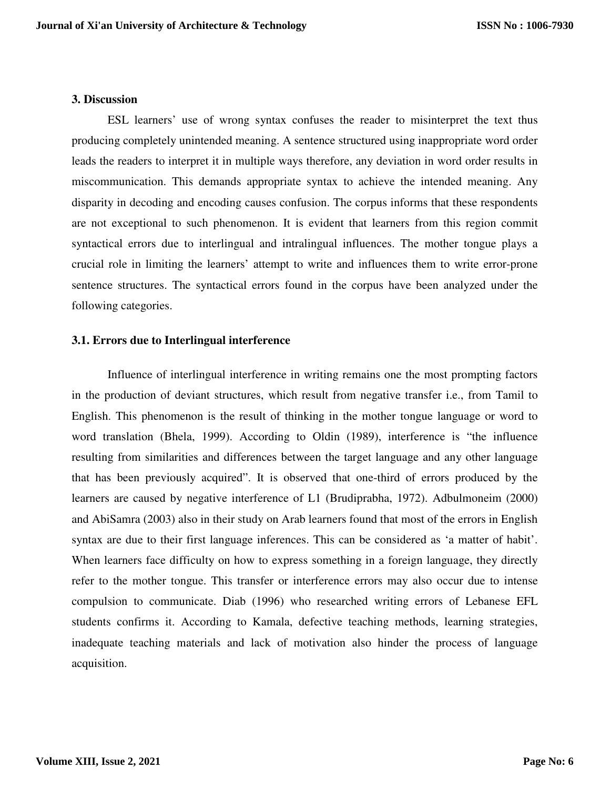#### **3. Discussion**

ESL learners' use of wrong syntax confuses the reader to misinterpret the text thus producing completely unintended meaning. A sentence structured using inappropriate word order leads the readers to interpret it in multiple ways therefore, any deviation in word order results in miscommunication. This demands appropriate syntax to achieve the intended meaning. Any disparity in decoding and encoding causes confusion. The corpus informs that these respondents are not exceptional to such phenomenon. It is evident that learners from this region commit syntactical errors due to interlingual and intralingual influences. The mother tongue plays a crucial role in limiting the learners' attempt to write and influences them to write error-prone sentence structures. The syntactical errors found in the corpus have been analyzed under the following categories.

## **3.1. Errors due to Interlingual interference**

 Influence of interlingual interference in writing remains one the most prompting factors in the production of deviant structures, which result from negative transfer i.e., from Tamil to English. This phenomenon is the result of thinking in the mother tongue language or word to word translation (Bhela, 1999). According to Oldin (1989), interference is "the influence resulting from similarities and differences between the target language and any other language that has been previously acquired". It is observed that one-third of errors produced by the learners are caused by negative interference of L1 (Brudiprabha, 1972). Adbulmoneim (2000) and AbiSamra (2003) also in their study on Arab learners found that most of the errors in English syntax are due to their first language inferences. This can be considered as 'a matter of habit'. When learners face difficulty on how to express something in a foreign language, they directly refer to the mother tongue. This transfer or interference errors may also occur due to intense compulsion to communicate. Diab (1996) who researched writing errors of Lebanese EFL students confirms it. According to Kamala, defective teaching methods, learning strategies, inadequate teaching materials and lack of motivation also hinder the process of language acquisition.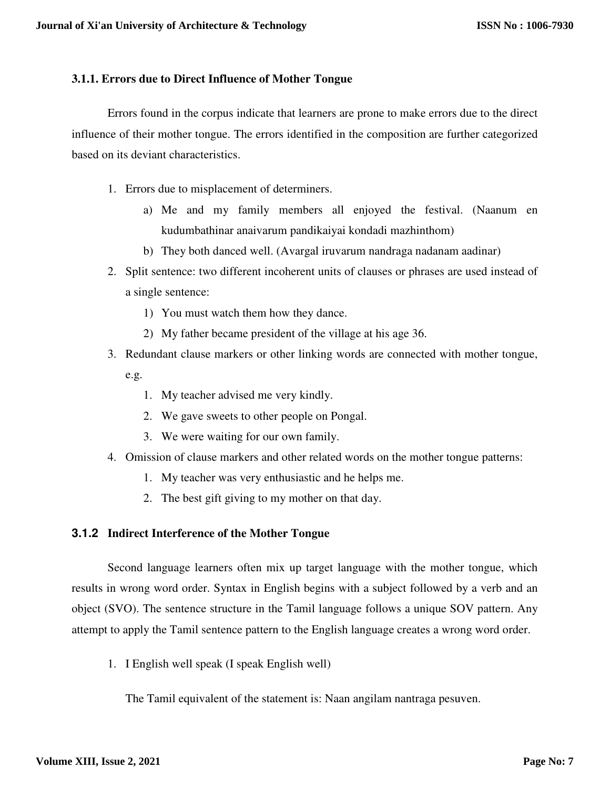## **3.1.1. Errors due to Direct Influence of Mother Tongue**

Errors found in the corpus indicate that learners are prone to make errors due to the direct influence of their mother tongue. The errors identified in the composition are further categorized based on its deviant characteristics.

- 1. Errors due to misplacement of determiners.
	- a) Me and my family members all enjoyed the festival. (Naanum en kudumbathinar anaivarum pandikaiyai kondadi mazhinthom)
	- b) They both danced well. (Avargal iruvarum nandraga nadanam aadinar)
- 2. Split sentence: two different incoherent units of clauses or phrases are used instead of a single sentence:
	- 1) You must watch them how they dance.
	- 2) My father became president of the village at his age 36.
- 3. Redundant clause markers or other linking words are connected with mother tongue, e.g.
	- 1. My teacher advised me very kindly.
	- 2. We gave sweets to other people on Pongal.
	- 3. We were waiting for our own family.
- 4. Omission of clause markers and other related words on the mother tongue patterns:
	- 1. My teacher was very enthusiastic and he helps me.
	- 2. The best gift giving to my mother on that day.

## **3.1.2 Indirect Interference of the Mother Tongue**

Second language learners often mix up target language with the mother tongue, which results in wrong word order. Syntax in English begins with a subject followed by a verb and an object (SVO). The sentence structure in the Tamil language follows a unique SOV pattern. Any attempt to apply the Tamil sentence pattern to the English language creates a wrong word order.

1. I English well speak (I speak English well)

The Tamil equivalent of the statement is: Naan angilam nantraga pesuven.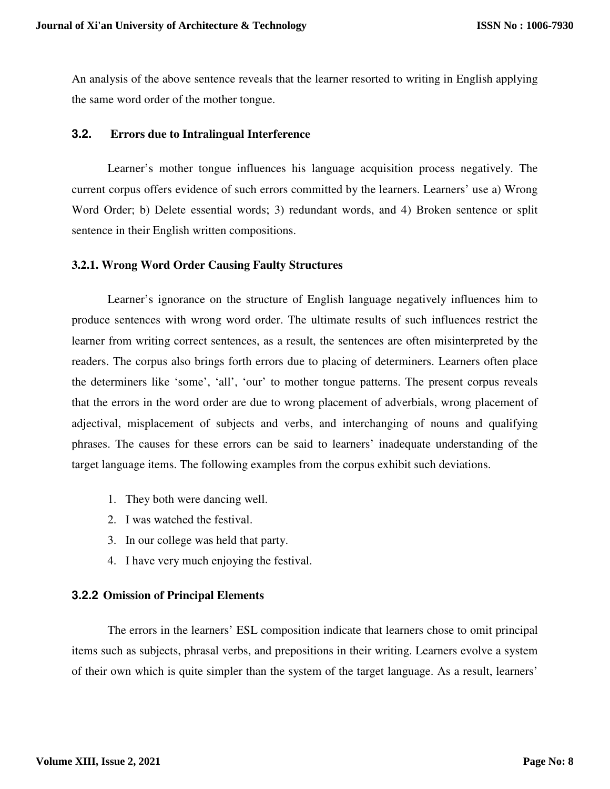An analysis of the above sentence reveals that the learner resorted to writing in English applying the same word order of the mother tongue.

## **3.2. Errors due to Intralingual Interference**

Learner's mother tongue influences his language acquisition process negatively. The current corpus offers evidence of such errors committed by the learners. Learners' use a) Wrong Word Order; b) Delete essential words; 3) redundant words, and 4) Broken sentence or split sentence in their English written compositions.

### **3.2.1. Wrong Word Order Causing Faulty Structures**

 Learner's ignorance on the structure of English language negatively influences him to produce sentences with wrong word order. The ultimate results of such influences restrict the learner from writing correct sentences, as a result, the sentences are often misinterpreted by the readers. The corpus also brings forth errors due to placing of determiners. Learners often place the determiners like 'some', 'all', 'our' to mother tongue patterns. The present corpus reveals that the errors in the word order are due to wrong placement of adverbials, wrong placement of adjectival, misplacement of subjects and verbs, and interchanging of nouns and qualifying phrases. The causes for these errors can be said to learners' inadequate understanding of the target language items. The following examples from the corpus exhibit such deviations.

- 1. They both were dancing well.
- 2. I was watched the festival.
- 3. In our college was held that party.
- 4. I have very much enjoying the festival.

## **3.2.2 Omission of Principal Elements**

The errors in the learners' ESL composition indicate that learners chose to omit principal items such as subjects, phrasal verbs, and prepositions in their writing. Learners evolve a system of their own which is quite simpler than the system of the target language. As a result, learners'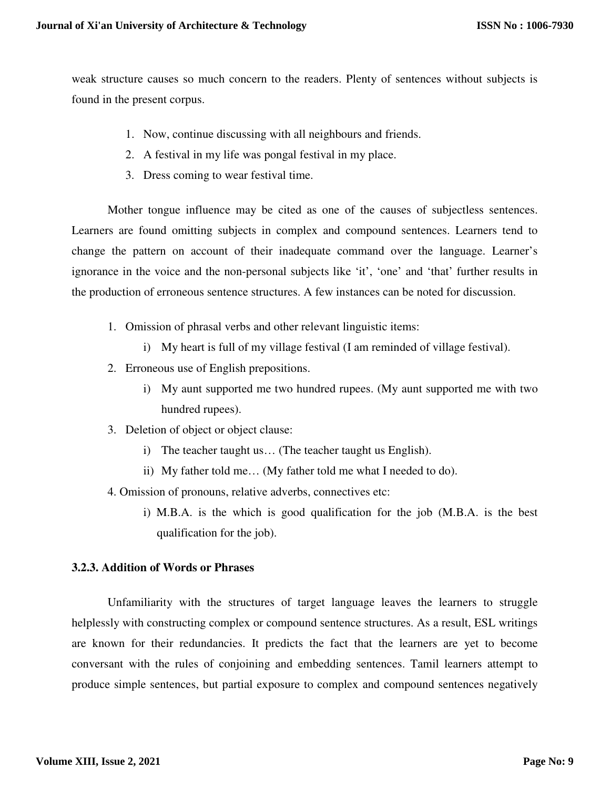weak structure causes so much concern to the readers. Plenty of sentences without subjects is found in the present corpus.

- 1. Now, continue discussing with all neighbours and friends.
- 2. A festival in my life was pongal festival in my place.
- 3. Dress coming to wear festival time.

Mother tongue influence may be cited as one of the causes of subjectless sentences. Learners are found omitting subjects in complex and compound sentences. Learners tend to change the pattern on account of their inadequate command over the language. Learner's ignorance in the voice and the non-personal subjects like 'it', 'one' and 'that' further results in the production of erroneous sentence structures. A few instances can be noted for discussion.

- 1. Omission of phrasal verbs and other relevant linguistic items:
	- i) My heart is full of my village festival (I am reminded of village festival).
- 2. Erroneous use of English prepositions.
	- i) My aunt supported me two hundred rupees. (My aunt supported me with two hundred rupees).
- 3. Deletion of object or object clause:
	- i) The teacher taught us… (The teacher taught us English).
	- ii) My father told me… (My father told me what I needed to do).
- 4. Omission of pronouns, relative adverbs, connectives etc:
	- i) M.B.A. is the which is good qualification for the job (M.B.A. is the best qualification for the job).

#### **3.2.3. Addition of Words or Phrases**

Unfamiliarity with the structures of target language leaves the learners to struggle helplessly with constructing complex or compound sentence structures. As a result, ESL writings are known for their redundancies. It predicts the fact that the learners are yet to become conversant with the rules of conjoining and embedding sentences. Tamil learners attempt to produce simple sentences, but partial exposure to complex and compound sentences negatively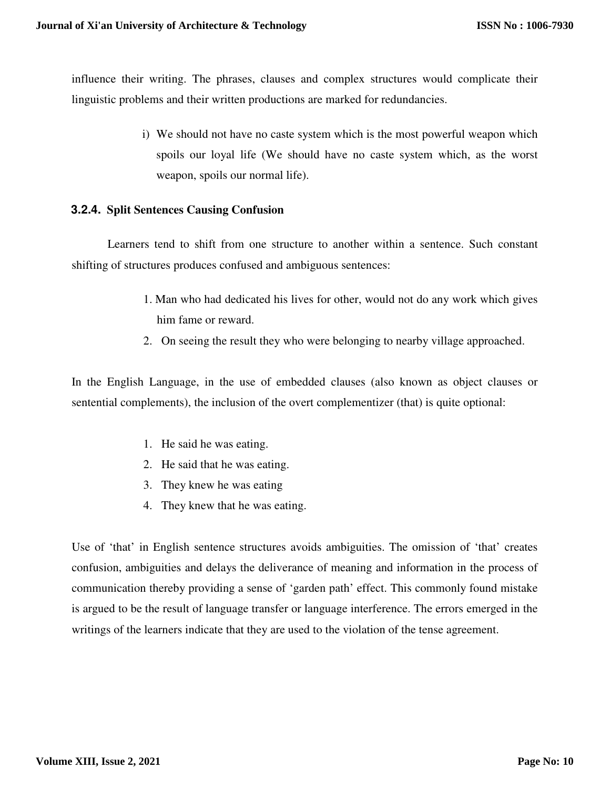influence their writing. The phrases, clauses and complex structures would complicate their linguistic problems and their written productions are marked for redundancies.

> i) We should not have no caste system which is the most powerful weapon which spoils our loyal life (We should have no caste system which, as the worst weapon, spoils our normal life).

### **3.2.4. Split Sentences Causing Confusion**

Learners tend to shift from one structure to another within a sentence. Such constant shifting of structures produces confused and ambiguous sentences:

- 1. Man who had dedicated his lives for other, would not do any work which gives him fame or reward.
- 2. On seeing the result they who were belonging to nearby village approached.

In the English Language, in the use of embedded clauses (also known as object clauses or sentential complements), the inclusion of the overt complementizer (that) is quite optional:

- 1. He said he was eating.
- 2. He said that he was eating.
- 3. They knew he was eating
- 4. They knew that he was eating.

Use of 'that' in English sentence structures avoids ambiguities. The omission of 'that' creates confusion, ambiguities and delays the deliverance of meaning and information in the process of communication thereby providing a sense of 'garden path' effect. This commonly found mistake is argued to be the result of language transfer or language interference. The errors emerged in the writings of the learners indicate that they are used to the violation of the tense agreement.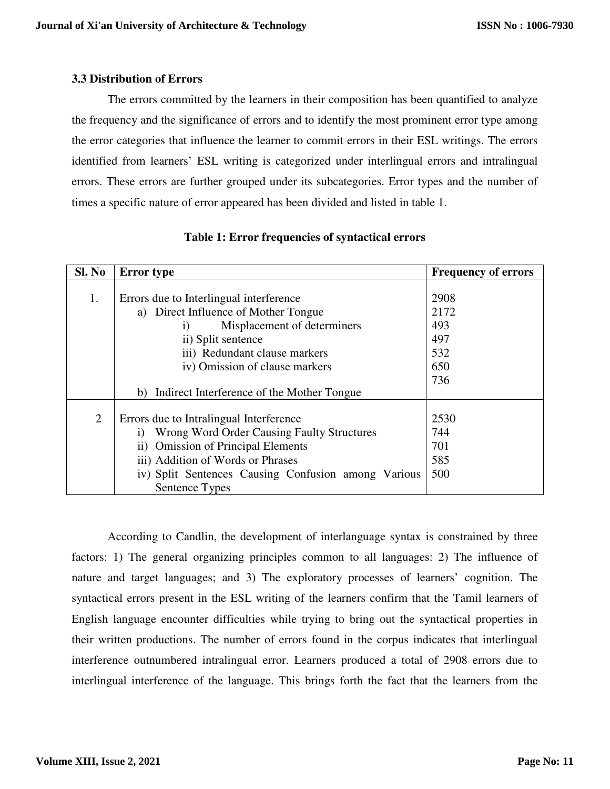## **3.3 Distribution of Errors**

 The errors committed by the learners in their composition has been quantified to analyze the frequency and the significance of errors and to identify the most prominent error type among the error categories that influence the learner to commit errors in their ESL writings. The errors identified from learners' ESL writing is categorized under interlingual errors and intralingual errors. These errors are further grouped under its subcategories. Error types and the number of times a specific nature of error appeared has been divided and listed in table 1.

| Sl. No | <b>Error</b> type                                              | <b>Frequency of errors</b> |
|--------|----------------------------------------------------------------|----------------------------|
|        |                                                                |                            |
| 1.     | Errors due to Interlingual interference                        | 2908                       |
|        | a) Direct Influence of Mother Tongue                           | 2172                       |
|        | Misplacement of determiners<br>$\bf{1)}$                       | 493                        |
|        | ii) Split sentence                                             | 497                        |
|        | iii) Redundant clause markers                                  | 532                        |
|        | iv) Omission of clause markers                                 | 650                        |
|        |                                                                | 736                        |
|        | Indirect Interference of the Mother Tongue<br>b)               |                            |
|        |                                                                |                            |
| 2      | Errors due to Intralingual Interference                        | 2530                       |
|        | <b>Wrong Word Order Causing Faulty Structures</b><br>$\bf{1)}$ | 744                        |
|        | ii) Omission of Principal Elements                             | 701                        |
|        | iii) Addition of Words or Phrases                              | 585                        |
|        | iv) Split Sentences Causing Confusion among Various            | 500                        |
|        | Sentence Types                                                 |                            |

**Table 1: Error frequencies of syntactical errors**

According to Candlin, the development of interlanguage syntax is constrained by three factors: 1) The general organizing principles common to all languages: 2) The influence of nature and target languages; and 3) The exploratory processes of learners' cognition. The syntactical errors present in the ESL writing of the learners confirm that the Tamil learners of English language encounter difficulties while trying to bring out the syntactical properties in their written productions. The number of errors found in the corpus indicates that interlingual interference outnumbered intralingual error. Learners produced a total of 2908 errors due to interlingual interference of the language. This brings forth the fact that the learners from the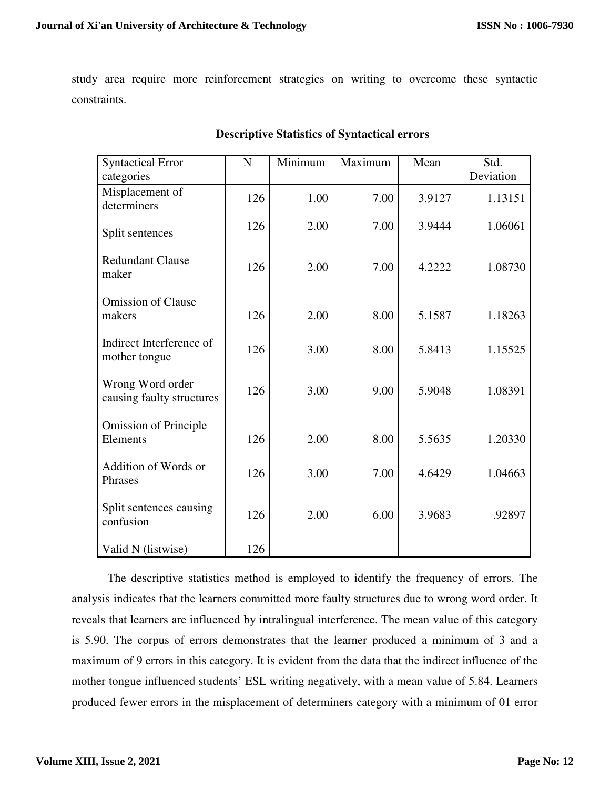study area require more reinforcement strategies on writing to overcome these syntactic constraints.

| <b>Syntactical Error</b>                      | $\mathbf N$ | Minimum | Maximum | Mean   | Std.      |
|-----------------------------------------------|-------------|---------|---------|--------|-----------|
| categories                                    |             |         |         |        | Deviation |
| Misplacement of<br>determiners                | 126         | 1.00    | 7.00    | 3.9127 | 1.13151   |
| Split sentences                               | 126         | 2.00    | 7.00    | 3.9444 | 1.06061   |
| <b>Redundant Clause</b><br>maker              | 126         | 2.00    | 7.00    | 4.2222 | 1.08730   |
| <b>Omission of Clause</b><br>makers           | 126         | 2.00    | 8.00    | 5.1587 | 1.18263   |
| Indirect Interference of<br>mother tongue     | 126         | 3.00    | 8.00    | 5.8413 | 1.15525   |
| Wrong Word order<br>causing faulty structures | 126         | 3.00    | 9.00    | 5.9048 | 1.08391   |
| <b>Omission of Principle</b><br>Elements      | 126         | 2.00    | 8.00    | 5.5635 | 1.20330   |
| Addition of Words or<br>Phrases               | 126         | 3.00    | 7.00    | 4.6429 | 1.04663   |
| Split sentences causing<br>confusion          | 126         | 2.00    | 6.00    | 3.9683 | .92897    |
| Valid N (listwise)                            | 126         |         |         |        |           |

## **Descriptive Statistics of Syntactical errors**

The descriptive statistics method is employed to identify the frequency of errors. The analysis indicates that the learners committed more faulty structures due to wrong word order. It reveals that learners are influenced by intralingual interference. The mean value of this category is 5.90. The corpus of errors demonstrates that the learner produced a minimum of 3 and a maximum of 9 errors in this category. It is evident from the data that the indirect influence of the mother tongue influenced students' ESL writing negatively, with a mean value of 5.84. Learners produced fewer errors in the misplacement of determiners category with a minimum of 01 error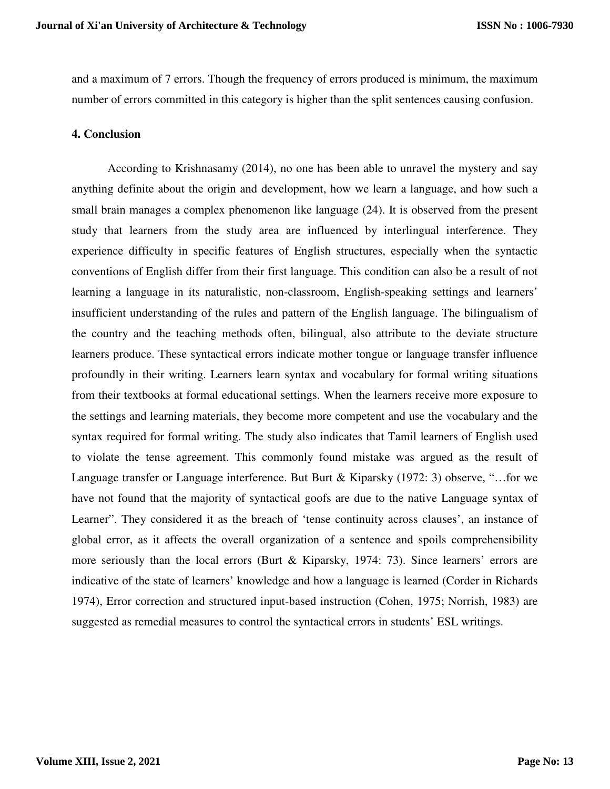and a maximum of 7 errors. Though the frequency of errors produced is minimum, the maximum number of errors committed in this category is higher than the split sentences causing confusion.

### **4. Conclusion**

According to Krishnasamy (2014), no one has been able to unravel the mystery and say anything definite about the origin and development, how we learn a language, and how such a small brain manages a complex phenomenon like language (24). It is observed from the present study that learners from the study area are influenced by interlingual interference. They experience difficulty in specific features of English structures, especially when the syntactic conventions of English differ from their first language. This condition can also be a result of not learning a language in its naturalistic, non-classroom, English-speaking settings and learners' insufficient understanding of the rules and pattern of the English language. The bilingualism of the country and the teaching methods often, bilingual, also attribute to the deviate structure learners produce. These syntactical errors indicate mother tongue or language transfer influence profoundly in their writing. Learners learn syntax and vocabulary for formal writing situations from their textbooks at formal educational settings. When the learners receive more exposure to the settings and learning materials, they become more competent and use the vocabulary and the syntax required for formal writing. The study also indicates that Tamil learners of English used to violate the tense agreement. This commonly found mistake was argued as the result of Language transfer or Language interference. But Burt & Kiparsky (1972: 3) observe, "…for we have not found that the majority of syntactical goofs are due to the native Language syntax of Learner". They considered it as the breach of 'tense continuity across clauses', an instance of global error, as it affects the overall organization of a sentence and spoils comprehensibility more seriously than the local errors (Burt & Kiparsky, 1974: 73). Since learners' errors are indicative of the state of learners' knowledge and how a language is learned (Corder in Richards 1974), Error correction and structured input-based instruction (Cohen, 1975; Norrish, 1983) are suggested as remedial measures to control the syntactical errors in students' ESL writings.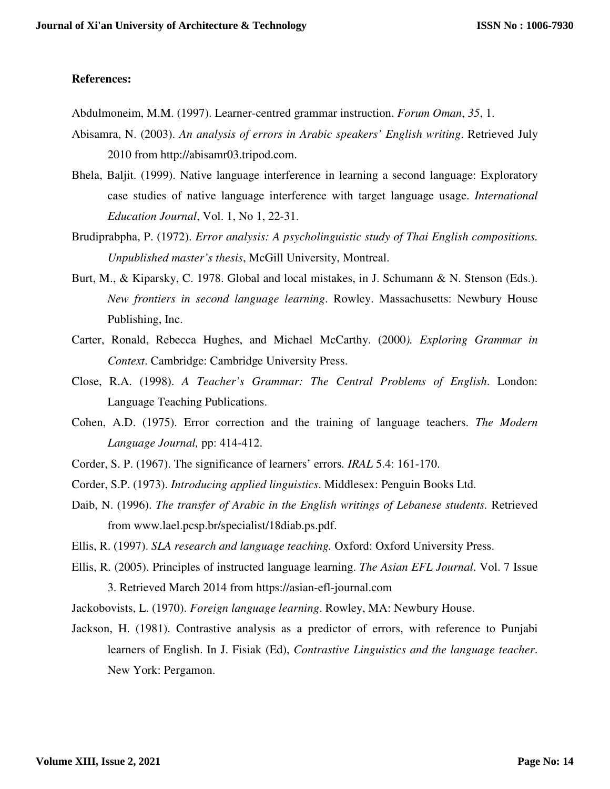### **References:**

- Abdulmoneim, M.M. (1997). Learner-centred grammar instruction. *Forum Oman*, *35*, 1.
- Abisamra, N. (2003). *An analysis of errors in Arabic speakers' English writing*. Retrieved July 2010 from http://abisamr03.tripod.com.
- Bhela, Baljit. (1999). Native language interference in learning a second language: Exploratory case studies of native language interference with target language usage. *International Education Journal*, Vol. 1, No 1, 22-31.
- Brudiprabpha, P. (1972). *Error analysis: A psycholinguistic study of Thai English compositions. Unpublished master's thesis*, McGill University, Montreal.
- Burt, M., & Kiparsky, C. 1978. Global and local mistakes, in J. Schumann & N. Stenson (Eds.). *New frontiers in second language learning*. Rowley. Massachusetts: Newbury House Publishing, Inc.
- Carter, Ronald, Rebecca Hughes, and Michael McCarthy. (2000*). Exploring Grammar in Context*. Cambridge: Cambridge University Press.
- Close, R.A. (1998). *A Teacher's Grammar: The Central Problems of English*. London: Language Teaching Publications.
- Cohen, A.D. (1975). Error correction and the training of language teachers. *The Modern Language Journal,* pp: 414-412.
- Corder, S. P. (1967). The significance of learners' errors*. IRAL* 5.4: 161-170.
- Corder, S.P. (1973). *Introducing applied linguistics*. Middlesex: Penguin Books Ltd.
- Daib, N. (1996). *The transfer of Arabic in the English writings of Lebanese students.* Retrieved from www.lael.pcsp.br/specialist/18diab.ps.pdf.
- Ellis, R. (1997). *SLA research and language teaching.* Oxford: Oxford University Press.
- Ellis, R. (2005). Principles of instructed language learning. *The Asian EFL Journal*. Vol. 7 Issue 3. Retrieved March 2014 from https://asian-efl-journal.com
- Jackobovists, L. (1970). *Foreign language learning*. Rowley, MA: Newbury House.
- Jackson, H. (1981). Contrastive analysis as a predictor of errors, with reference to Punjabi learners of English. In J. Fisiak (Ed), *Contrastive Linguistics and the language teacher*. New York: Pergamon.